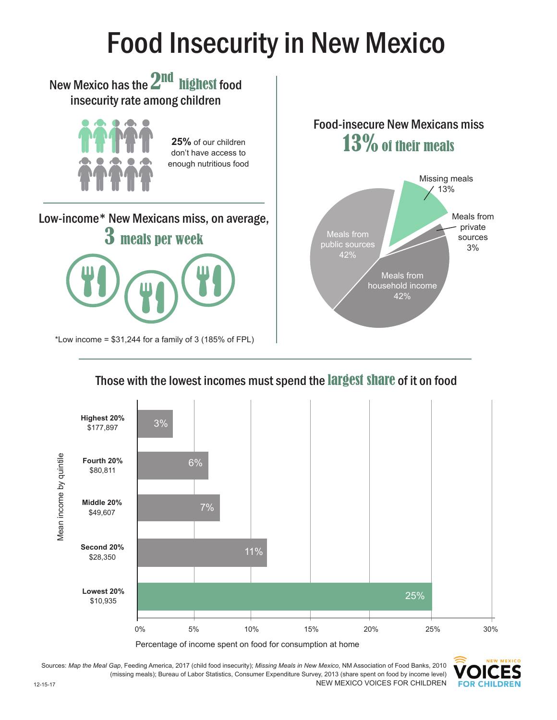## Food Insecurity in New Mexico



## Those with the lowest incomes must spend the largest share of it on food







Sources: *Map the Meal Gap*, Feeding America, 2017 (child food insecurity); *Missing Meals in New Mexico*, NM Association of Food Banks, 2010 (missing meals); Bureau of Labor Statistics, Consumer Expenditure Survey, 2013 (share spent on food by income level) NEW MEXICO VOICES FOR CHILDREN 12-15-17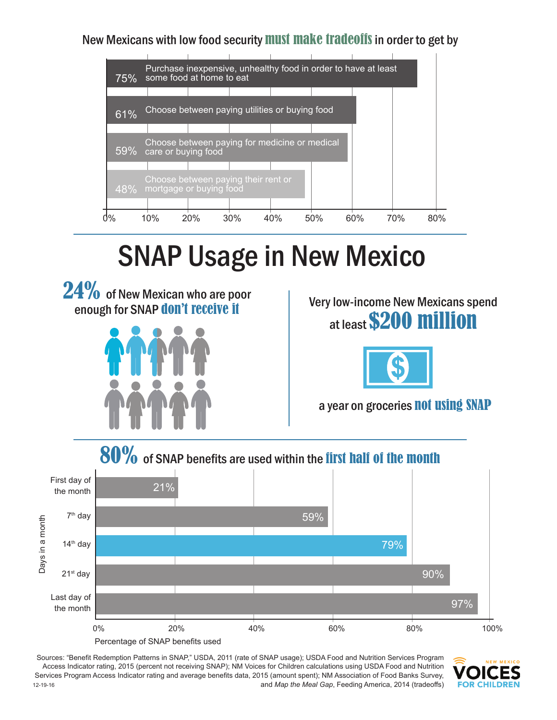New Mexicans with low food security must make tradeoffs in order to get by



## SNAP Usage in New Mexico





Very low-income New Mexicans spend at least \$200 million



a year on groceries not using SNAP



Sources: "Benefit Redemption Patterns in SNAP," USDA, 2011 (rate of SNAP usage); USDA Food and Nutrition Services Program Access Indicator rating, 2015 (percent not receiving SNAP); NM Voices for Children calculations using USDA Food and Nutrition Services Program Access Indicator rating and average benefits data, 2015 (amount spent); NM Association of Food Banks Survey, and *Map the Meal Gap*, Feeding America, 2014 (tradeoffs) 12-19-16